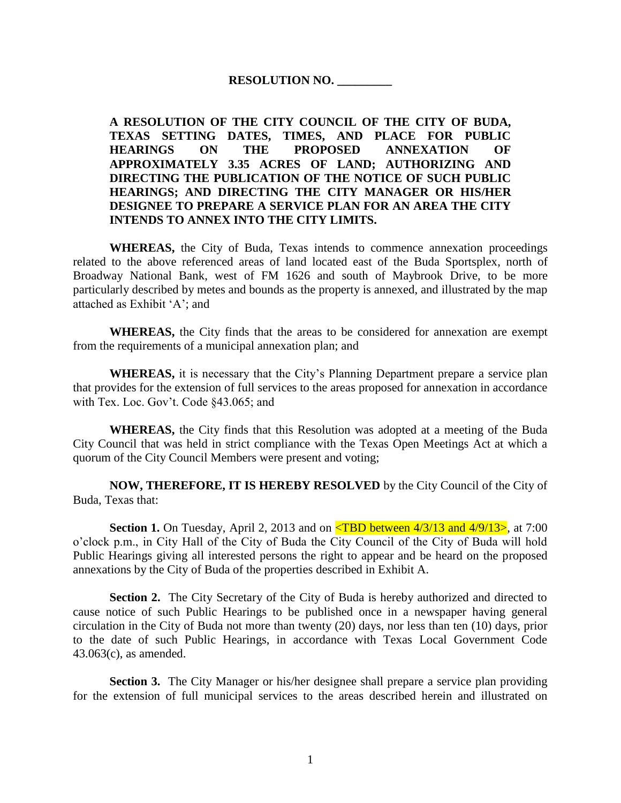## **RESOLUTION NO. \_\_\_\_\_\_\_\_\_**

**A RESOLUTION OF THE CITY COUNCIL OF THE CITY OF BUDA, TEXAS SETTING DATES, TIMES, AND PLACE FOR PUBLIC HEARINGS ON THE PROPOSED ANNEXATION OF APPROXIMATELY 3.35 ACRES OF LAND; AUTHORIZING AND DIRECTING THE PUBLICATION OF THE NOTICE OF SUCH PUBLIC HEARINGS; AND DIRECTING THE CITY MANAGER OR HIS/HER DESIGNEE TO PREPARE A SERVICE PLAN FOR AN AREA THE CITY INTENDS TO ANNEX INTO THE CITY LIMITS.** 

**WHEREAS,** the City of Buda, Texas intends to commence annexation proceedings related to the above referenced areas of land located east of the Buda Sportsplex, north of Broadway National Bank, west of FM 1626 and south of Maybrook Drive, to be more particularly described by metes and bounds as the property is annexed, and illustrated by the map attached as Exhibit 'A'; and

**WHEREAS,** the City finds that the areas to be considered for annexation are exempt from the requirements of a municipal annexation plan; and

**WHEREAS,** it is necessary that the City's Planning Department prepare a service plan that provides for the extension of full services to the areas proposed for annexation in accordance with Tex. Loc. Gov't. Code §43.065; and

**WHEREAS,** the City finds that this Resolution was adopted at a meeting of the Buda City Council that was held in strict compliance with the Texas Open Meetings Act at which a quorum of the City Council Members were present and voting;

**NOW, THEREFORE, IT IS HEREBY RESOLVED** by the City Council of the City of Buda, Texas that:

**Section 1.** On Tuesday, April 2, 2013 and on **<TBD** between 4/3/13 and 4/9/13>, at 7:00 o'clock p.m., in City Hall of the City of Buda the City Council of the City of Buda will hold Public Hearings giving all interested persons the right to appear and be heard on the proposed annexations by the City of Buda of the properties described in Exhibit A.

**Section 2.** The City Secretary of the City of Buda is hereby authorized and directed to cause notice of such Public Hearings to be published once in a newspaper having general circulation in the City of Buda not more than twenty (20) days, nor less than ten (10) days, prior to the date of such Public Hearings, in accordance with Texas Local Government Code 43.063(c), as amended.

**Section 3.** The City Manager or his/her designee shall prepare a service plan providing for the extension of full municipal services to the areas described herein and illustrated on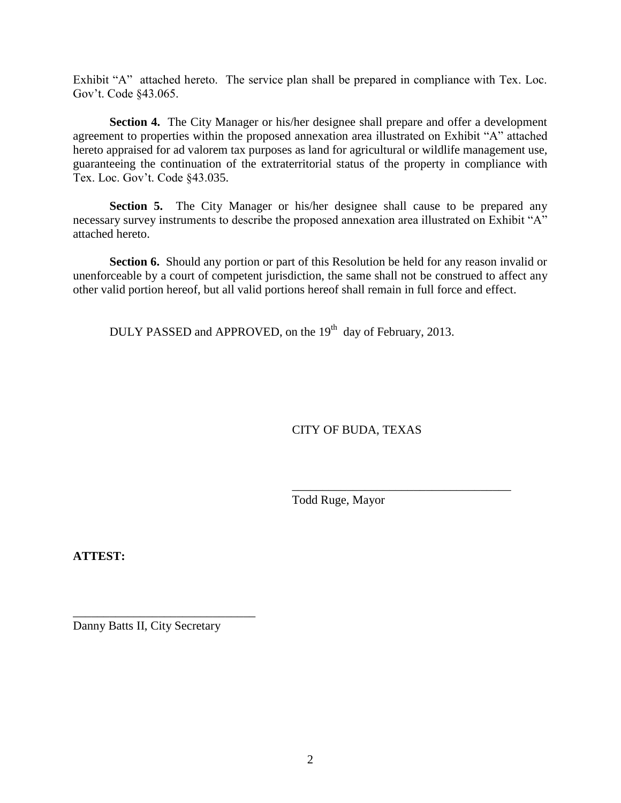Exhibit "A" attached hereto. The service plan shall be prepared in compliance with Tex. Loc. Gov't. Code §43.065.

**Section 4.** The City Manager or his/her designee shall prepare and offer a development agreement to properties within the proposed annexation area illustrated on Exhibit "A" attached hereto appraised for ad valorem tax purposes as land for agricultural or wildlife management use, guaranteeing the continuation of the extraterritorial status of the property in compliance with Tex. Loc. Gov't. Code §43.035.

**Section 5.** The City Manager or his/her designee shall cause to be prepared any necessary survey instruments to describe the proposed annexation area illustrated on Exhibit "A" attached hereto.

**Section 6.** Should any portion or part of this Resolution be held for any reason invalid or unenforceable by a court of competent jurisdiction, the same shall not be construed to affect any other valid portion hereof, but all valid portions hereof shall remain in full force and effect.

DULY PASSED and APPROVED, on the 19<sup>th</sup> day of February, 2013.

CITY OF BUDA, TEXAS

\_\_\_\_\_\_\_\_\_\_\_\_\_\_\_\_\_\_\_\_\_\_\_\_\_\_\_\_\_\_\_\_\_\_\_\_

Todd Ruge, Mayor

**ATTEST:**

Danny Batts II, City Secretary

\_\_\_\_\_\_\_\_\_\_\_\_\_\_\_\_\_\_\_\_\_\_\_\_\_\_\_\_\_\_